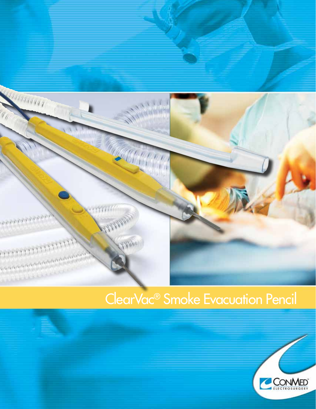

# ClearVac® Smoke Evacuation Pencil